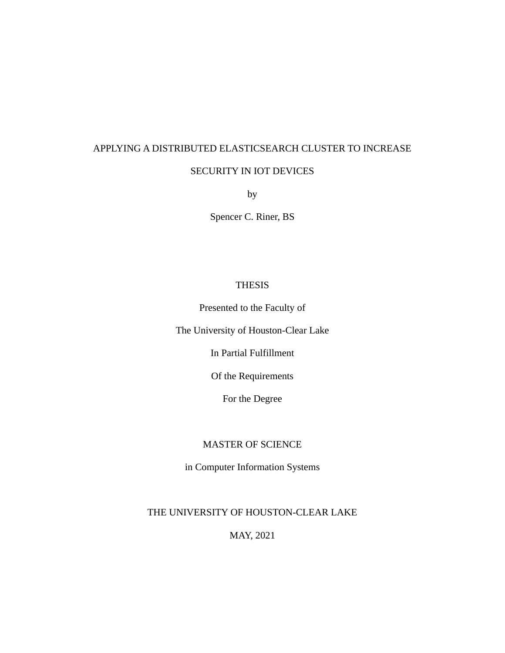# APPLYING A DISTRIBUTED ELASTICSEARCH CLUSTER TO INCREASE

# SECURITY IN IOT DEVICES

by

Spencer C. Riner, BS

# THESIS

Presented to the Faculty of

The University of Houston-Clear Lake

In Partial Fulfillment

Of the Requirements

For the Degree

# MASTER OF SCIENCE

in Computer Information Systems

THE UNIVERSITY OF HOUSTON-CLEAR LAKE

MAY, 2021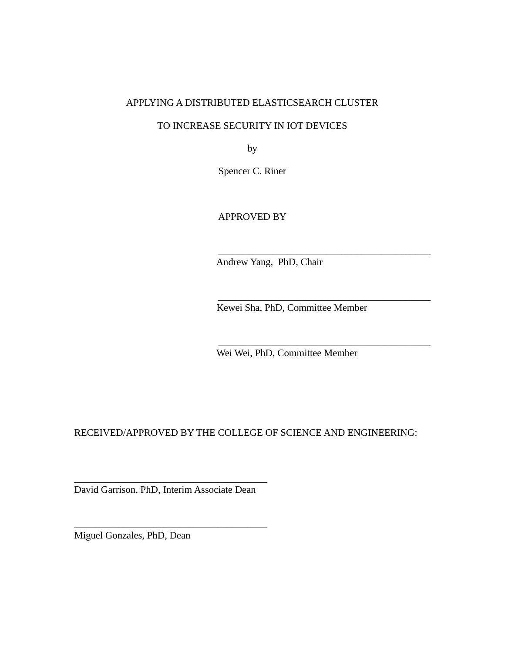# APPLYING A DISTRIBUTED ELASTICSEARCH CLUSTER

# TO INCREASE SECURITY IN IOT DEVICES

by

Spencer C. Riner

APPROVED BY

Andrew Yang, PhD, Chair

Kewei Sha, PhD, Committee Member

\_\_\_\_\_\_\_\_\_\_\_\_\_\_\_\_\_\_\_\_\_\_\_\_\_\_\_\_\_\_\_\_\_\_\_\_\_\_\_\_\_\_\_

\_\_\_\_\_\_\_\_\_\_\_\_\_\_\_\_\_\_\_\_\_\_\_\_\_\_\_\_\_\_\_\_\_\_\_\_\_\_\_\_\_\_\_

\_\_\_\_\_\_\_\_\_\_\_\_\_\_\_\_\_\_\_\_\_\_\_\_\_\_\_\_\_\_\_\_\_\_\_\_\_\_\_\_\_\_\_

Wei Wei, PhD, Committee Member

RECEIVED/APPROVED BY THE COLLEGE OF SCIENCE AND ENGINEERING:

\_\_\_\_\_\_\_\_\_\_\_\_\_\_\_\_\_\_\_\_\_\_\_\_\_\_\_\_\_\_\_\_\_\_\_\_\_\_\_ David Garrison, PhD, Interim Associate Dean

\_\_\_\_\_\_\_\_\_\_\_\_\_\_\_\_\_\_\_\_\_\_\_\_\_\_\_\_\_\_\_\_\_\_\_\_\_\_\_

Miguel Gonzales, PhD, Dean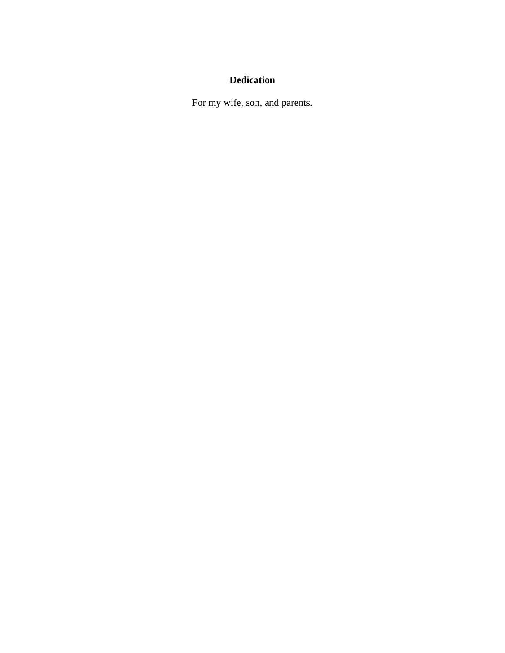# **Dedication**

For my wife, son, and parents.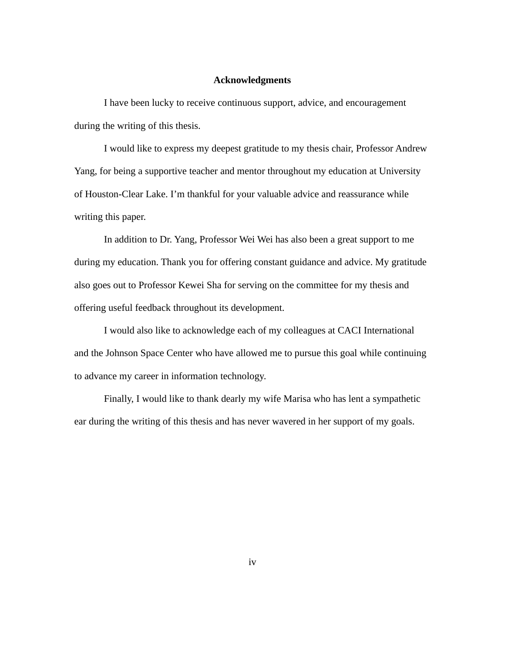#### **Acknowledgments**

I have been lucky to receive continuous support, advice, and encouragement during the writing of this thesis.

I would like to express my deepest gratitude to my thesis chair, Professor Andrew Yang, for being a supportive teacher and mentor throughout my education at University of Houston-Clear Lake. I'm thankful for your valuable advice and reassurance while writing this paper.

In addition to Dr. Yang, Professor Wei Wei has also been a great support to me during my education. Thank you for offering constant guidance and advice. My gratitude also goes out to Professor Kewei Sha for serving on the committee for my thesis and offering useful feedback throughout its development.

I would also like to acknowledge each of my colleagues at CACI International and the Johnson Space Center who have allowed me to pursue this goal while continuing to advance my career in information technology.

Finally, I would like to thank dearly my wife Marisa who has lent a sympathetic ear during the writing of this thesis and has never wavered in her support of my goals.

iv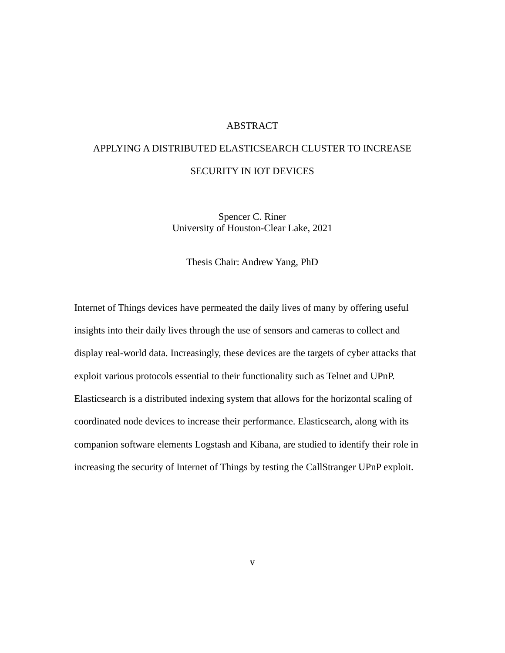# ABSTRACT

# APPLYING A DISTRIBUTED ELASTICSEARCH CLUSTER TO INCREASE SECURITY IN IOT DEVICES

Spencer C. Riner University of Houston-Clear Lake, 2021

Thesis Chair: Andrew Yang, PhD

Internet of Things devices have permeated the daily lives of many by offering useful insights into their daily lives through the use of sensors and cameras to collect and display real-world data. Increasingly, these devices are the targets of cyber attacks that exploit various protocols essential to their functionality such as Telnet and UPnP. Elasticsearch is a distributed indexing system that allows for the horizontal scaling of coordinated node devices to increase their performance. Elasticsearch, along with its companion software elements Logstash and Kibana, are studied to identify their role in increasing the security of Internet of Things by testing the CallStranger UPnP exploit.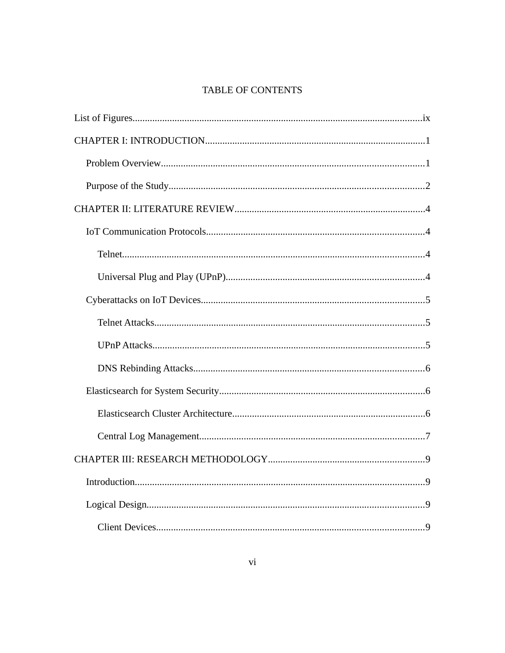# TABLE OF CONTENTS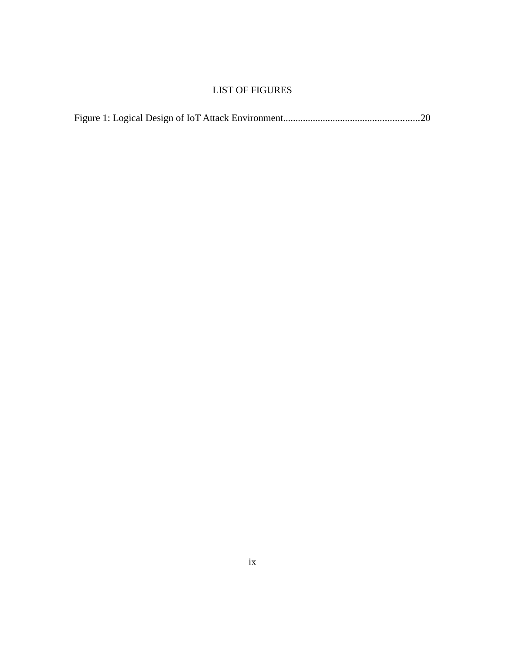# LIST OF FIGURES

|--|--|--|--|--|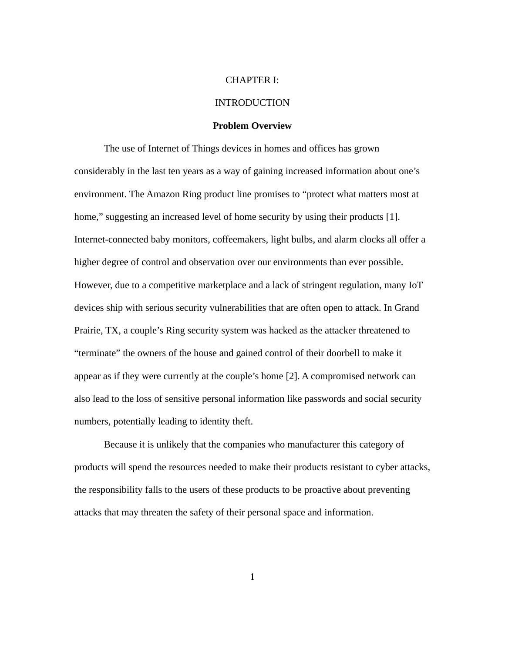#### <span id="page-9-1"></span>CHAPTER I:

#### INTRODUCTION

#### <span id="page-9-0"></span>**Problem Overview**

The use of Internet of Things devices in homes and offices has grown considerably in the last ten years as a way of gaining increased information about one's environment. The Amazon Ring product line promises to "protect what matters most at home," suggesting an increased level of home security by using their products [1]. Internet-connected baby monitors, coffeemakers, light bulbs, and alarm clocks all offer a higher degree of control and observation over our environments than ever possible. However, due to a competitive marketplace and a lack of stringent regulation, many IoT devices ship with serious security vulnerabilities that are often open to attack. In Grand Prairie, TX, a couple's Ring security system was hacked as the attacker threatened to "terminate" the owners of the house and gained control of their doorbell to make it appear as if they were currently at the couple's home [2]. A compromised network can also lead to the loss of sensitive personal information like passwords and social security numbers, potentially leading to identity theft.

Because it is unlikely that the companies who manufacturer this category of products will spend the resources needed to make their products resistant to cyber attacks, the responsibility falls to the users of these products to be proactive about preventing attacks that may threaten the safety of their personal space and information.

1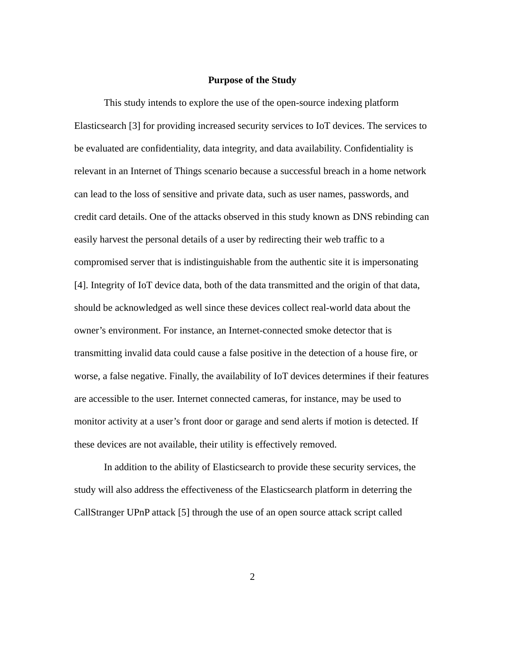#### <span id="page-10-0"></span>**Purpose of the Study**

This study intends to explore the use of the open-source indexing platform Elasticsearch [3] for providing increased security services to IoT devices. The services to be evaluated are confidentiality, data integrity, and data availability. Confidentiality is relevant in an Internet of Things scenario because a successful breach in a home network can lead to the loss of sensitive and private data, such as user names, passwords, and credit card details. One of the attacks observed in this study known as DNS rebinding can easily harvest the personal details of a user by redirecting their web traffic to a compromised server that is indistinguishable from the authentic site it is impersonating [4]. Integrity of IoT device data, both of the data transmitted and the origin of that data, should be acknowledged as well since these devices collect real-world data about the owner's environment. For instance, an Internet-connected smoke detector that is transmitting invalid data could cause a false positive in the detection of a house fire, or worse, a false negative. Finally, the availability of IoT devices determines if their features are accessible to the user. Internet connected cameras, for instance, may be used to monitor activity at a user's front door or garage and send alerts if motion is detected. If these devices are not available, their utility is effectively removed.

In addition to the ability of Elasticsearch to provide these security services, the study will also address the effectiveness of the Elasticsearch platform in deterring the CallStranger UPnP attack [5] through the use of an open source attack script called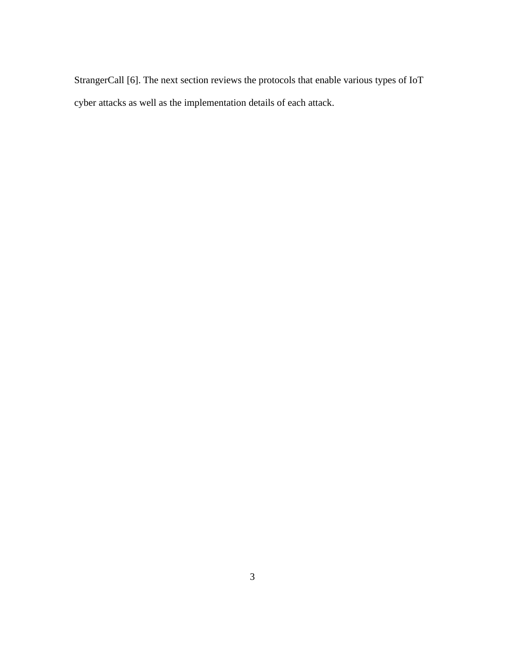StrangerCall [6]. The next section reviews the protocols that enable various types of IoT cyber attacks as well as the implementation details of each attack.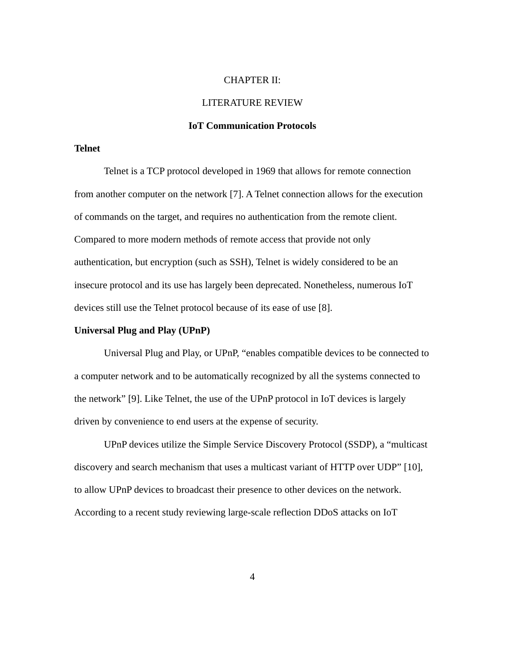#### <span id="page-12-3"></span>CHAPTER II:

#### LITERATURE REVIEW

#### <span id="page-12-2"></span>**IoT Communication Protocols**

#### <span id="page-12-1"></span>**Telnet**

Telnet is a TCP protocol developed in 1969 that allows for remote connection from another computer on the network [7]. A Telnet connection allows for the execution of commands on the target, and requires no authentication from the remote client. Compared to more modern methods of remote access that provide not only authentication, but encryption (such as SSH), Telnet is widely considered to be an insecure protocol and its use has largely been deprecated. Nonetheless, numerous IoT devices still use the Telnet protocol because of its ease of use [8].

# <span id="page-12-0"></span>**Universal Plug and Play (UPnP)**

Universal Plug and Play, or UPnP, "enables compatible devices to be connected to a computer network and to be automatically recognized by all the systems connected to the network" [9]. Like Telnet, the use of the UPnP protocol in IoT devices is largely driven by convenience to end users at the expense of security.

UPnP devices utilize the Simple Service Discovery Protocol (SSDP), a "multicast discovery and search mechanism that uses a multicast variant of HTTP over UDP" [10], to allow UPnP devices to broadcast their presence to other devices on the network. According to a recent study reviewing large-scale reflection DDoS attacks on IoT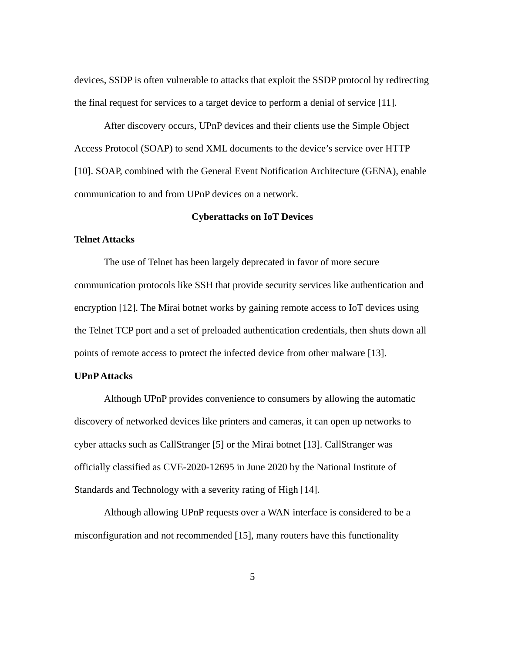devices, SSDP is often vulnerable to attacks that exploit the SSDP protocol by redirecting the final request for services to a target device to perform a denial of service [11].

After discovery occurs, UPnP devices and their clients use the Simple Object Access Protocol (SOAP) to send XML documents to the device's service over HTTP [10]. SOAP, combined with the General Event Notification Architecture (GENA), enable communication to and from UPnP devices on a network.

# <span id="page-13-2"></span>**Cyberattacks on IoT Devices**

#### <span id="page-13-1"></span>**Telnet Attacks**

The use of Telnet has been largely deprecated in favor of more secure communication protocols like SSH that provide security services like authentication and encryption [12]. The Mirai botnet works by gaining remote access to IoT devices using the Telnet TCP port and a set of preloaded authentication credentials, then shuts down all points of remote access to protect the infected device from other malware [13].

#### <span id="page-13-0"></span>**UPnP Attacks**

Although UPnP provides convenience to consumers by allowing the automatic discovery of networked devices like printers and cameras, it can open up networks to cyber attacks such as CallStranger [5] or the Mirai botnet [13]. CallStranger was officially classified as CVE-2020-12695 in June 2020 by the National Institute of Standards and Technology with a severity rating of High [14].

Although allowing UPnP requests over a WAN interface is considered to be a misconfiguration and not recommended [15], many routers have this functionality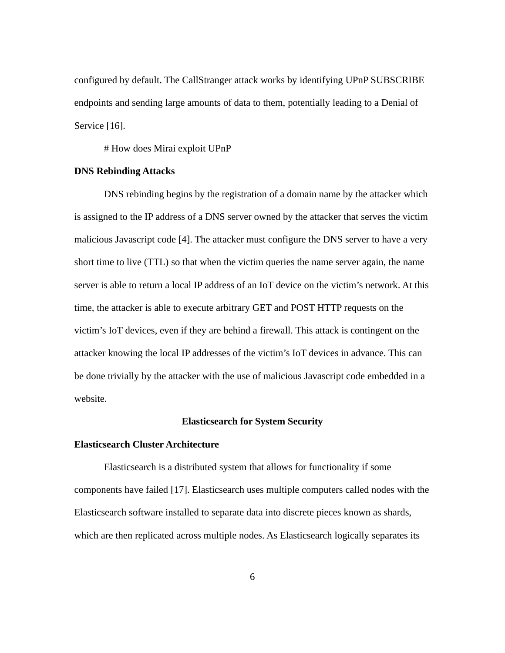configured by default. The CallStranger attack works by identifying UPnP SUBSCRIBE endpoints and sending large amounts of data to them, potentially leading to a Denial of Service [16].

# How does Mirai exploit UPnP

#### <span id="page-14-2"></span>**DNS Rebinding Attacks**

DNS rebinding begins by the registration of a domain name by the attacker which is assigned to the IP address of a DNS server owned by the attacker that serves the victim malicious Javascript code [4]. The attacker must configure the DNS server to have a very short time to live (TTL) so that when the victim queries the name server again, the name server is able to return a local IP address of an IoT device on the victim's network. At this time, the attacker is able to execute arbitrary GET and POST HTTP requests on the victim's IoT devices, even if they are behind a firewall. This attack is contingent on the attacker knowing the local IP addresses of the victim's IoT devices in advance. This can be done trivially by the attacker with the use of malicious Javascript code embedded in a website.

# <span id="page-14-1"></span>**Elasticsearch for System Security**

#### <span id="page-14-0"></span>**Elasticsearch Cluster Architecture**

Elasticsearch is a distributed system that allows for functionality if some components have failed [17]. Elasticsearch uses multiple computers called nodes with the Elasticsearch software installed to separate data into discrete pieces known as shards, which are then replicated across multiple nodes. As Elasticsearch logically separates its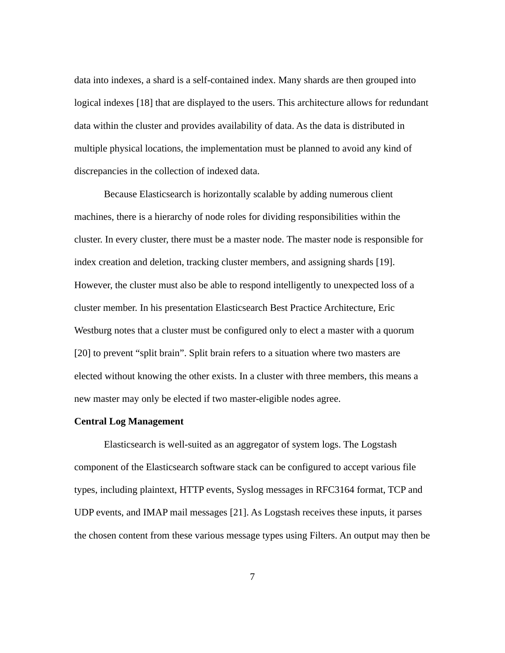data into indexes, a shard is a self-contained index. Many shards are then grouped into logical indexes [18] that are displayed to the users. This architecture allows for redundant data within the cluster and provides availability of data. As the data is distributed in multiple physical locations, the implementation must be planned to avoid any kind of discrepancies in the collection of indexed data.

Because Elasticsearch is horizontally scalable by adding numerous client machines, there is a hierarchy of node roles for dividing responsibilities within the cluster. In every cluster, there must be a master node. The master node is responsible for index creation and deletion, tracking cluster members, and assigning shards [19]. However, the cluster must also be able to respond intelligently to unexpected loss of a cluster member. In his presentation Elasticsearch Best Practice Architecture, Eric Westburg notes that a cluster must be configured only to elect a master with a quorum [20] to prevent "split brain". Split brain refers to a situation where two masters are elected without knowing the other exists. In a cluster with three members, this means a new master may only be elected if two master-eligible nodes agree.

# <span id="page-15-0"></span>**Central Log Management**

Elasticsearch is well-suited as an aggregator of system logs. The Logstash component of the Elasticsearch software stack can be configured to accept various file types, including plaintext, HTTP events, Syslog messages in RFC3164 format, TCP and UDP events, and IMAP mail messages [21]. As Logstash receives these inputs, it parses the chosen content from these various message types using Filters. An output may then be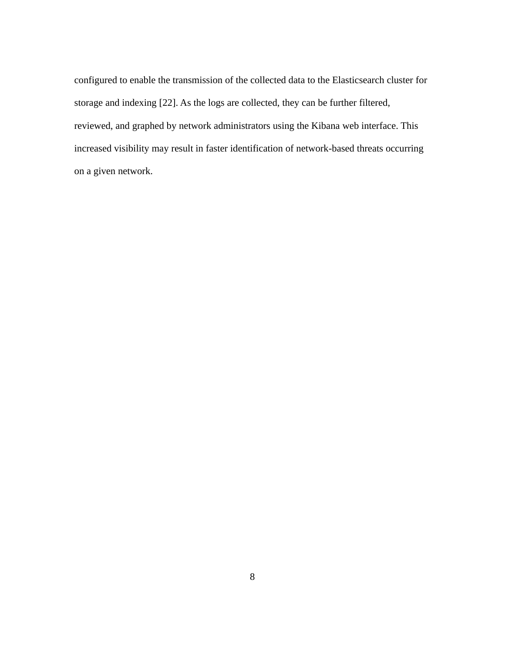configured to enable the transmission of the collected data to the Elasticsearch cluster for storage and indexing [22]. As the logs are collected, they can be further filtered, reviewed, and graphed by network administrators using the Kibana web interface. This increased visibility may result in faster identification of network-based threats occurring on a given network.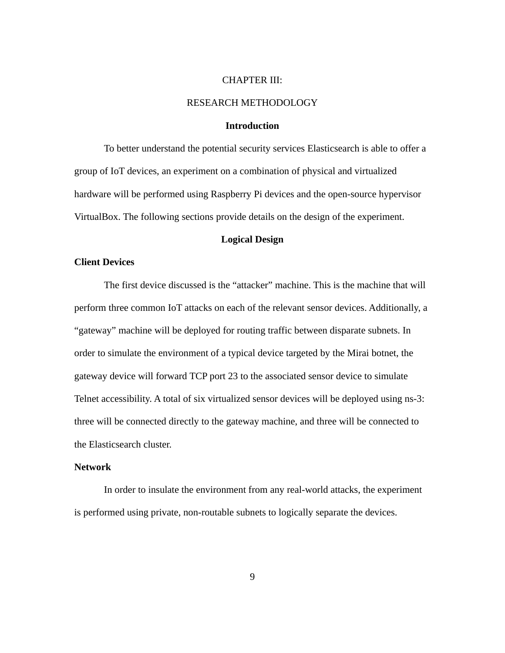#### <span id="page-17-2"></span>CHAPTER III:

#### RESEARCH METHODOLOGY

#### <span id="page-17-1"></span>**Introduction**

To better understand the potential security services Elasticsearch is able to offer a group of IoT devices, an experiment on a combination of physical and virtualized hardware will be performed using Raspberry Pi devices and the open-source hypervisor VirtualBox. The following sections provide details on the design of the experiment.

# <span id="page-17-0"></span>**Logical Design**

#### <span id="page-17-3"></span>**Client Devices**

The first device discussed is the "attacker" machine. This is the machine that will perform three common IoT attacks on each of the relevant sensor devices. Additionally, a "gateway" machine will be deployed for routing traffic between disparate subnets. In order to simulate the environment of a typical device targeted by the Mirai botnet, the gateway device will forward TCP port 23 to the associated sensor device to simulate Telnet accessibility. A total of six virtualized sensor devices will be deployed using ns-3: three will be connected directly to the gateway machine, and three will be connected to the Elasticsearch cluster.

# **Network**

In order to insulate the environment from any real-world attacks, the experiment is performed using private, non-routable subnets to logically separate the devices.

9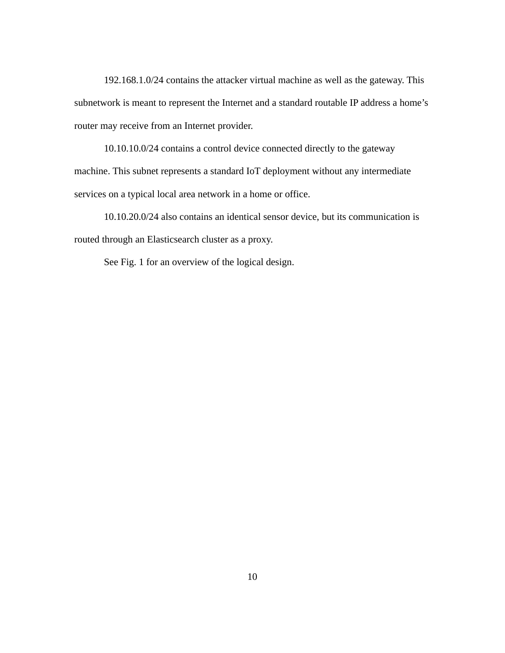192.168.1.0/24 contains the attacker virtual machine as well as the gateway. This subnetwork is meant to represent the Internet and a standard routable IP address a home's router may receive from an Internet provider.

10.10.10.0/24 contains a control device connected directly to the gateway machine. This subnet represents a standard IoT deployment without any intermediate services on a typical local area network in a home or office.

10.10.20.0/24 also contains an identical sensor device, but its communication is routed through an Elasticsearch cluster as a proxy.

See Fig. 1 for an overview of the logical design.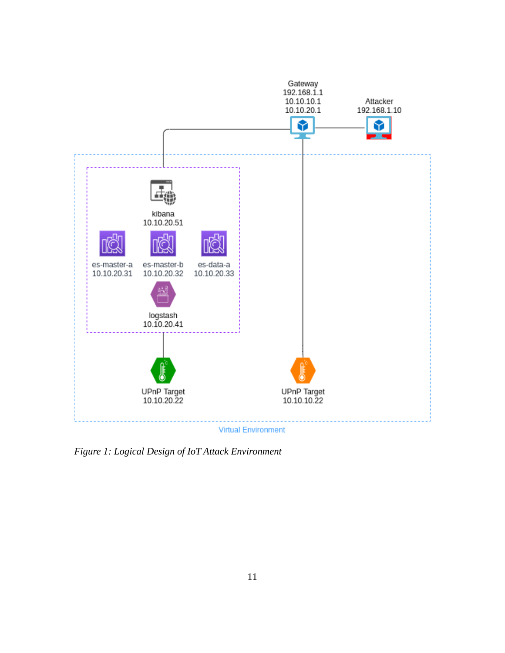

<span id="page-19-0"></span>*Figure 1: Logical Design of IoT Attack Environment*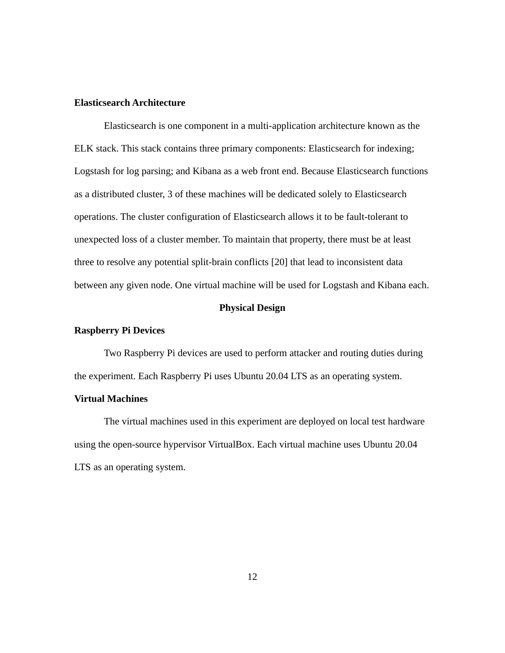#### <span id="page-20-3"></span>**Elasticsearch Architecture**

Elasticsearch is one component in a multi-application architecture known as the ELK stack. This stack contains three primary components: Elasticsearch for indexing; Logstash for log parsing; and Kibana as a web front end. Because Elasticsearch functions as a distributed cluster, 3 of these machines will be dedicated solely to Elasticsearch operations. The cluster configuration of Elasticsearch allows it to be fault-tolerant to unexpected loss of a cluster member. To maintain that property, there must be at least three to resolve any potential split-brain conflicts [20] that lead to inconsistent data between any given node. One virtual machine will be used for Logstash and Kibana each.

# <span id="page-20-2"></span>**Physical Design**

# <span id="page-20-1"></span>**Raspberry Pi Devices**

Two Raspberry Pi devices are used to perform attacker and routing duties during the experiment. Each Raspberry Pi uses Ubuntu 20.04 LTS as an operating system.

#### <span id="page-20-0"></span>**Virtual Machines**

The virtual machines used in this experiment are deployed on local test hardware using the open-source hypervisor VirtualBox. Each virtual machine uses Ubuntu 20.04 LTS as an operating system.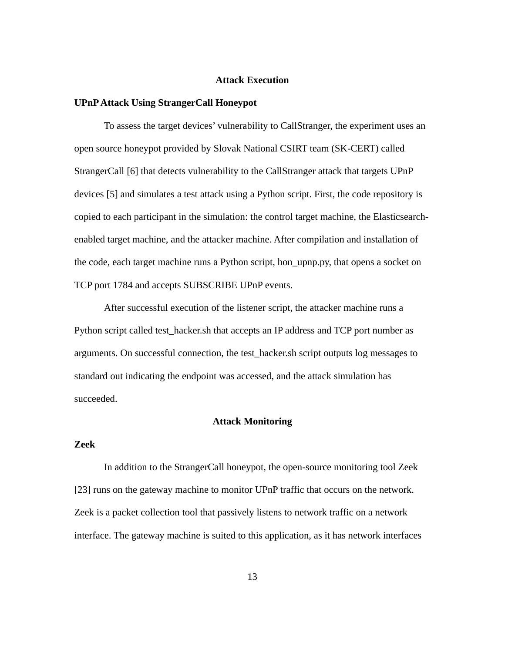#### <span id="page-21-3"></span>**Attack Execution**

#### <span id="page-21-2"></span>**UPnP Attack Using StrangerCall Honeypot**

To assess the target devices' vulnerability to CallStranger, the experiment uses an open source honeypot provided by Slovak National CSIRT team (SK-CERT) called StrangerCall [6] that detects vulnerability to the CallStranger attack that targets UPnP devices [5] and simulates a test attack using a Python script. First, the code repository is copied to each participant in the simulation: the control target machine, the Elasticsearchenabled target machine, and the attacker machine. After compilation and installation of the code, each target machine runs a Python script, hon\_upnp.py, that opens a socket on TCP port 1784 and accepts SUBSCRIBE UPnP events.

After successful execution of the listener script, the attacker machine runs a Python script called test\_hacker.sh that accepts an IP address and TCP port number as arguments. On successful connection, the test\_hacker.sh script outputs log messages to standard out indicating the endpoint was accessed, and the attack simulation has succeeded.

# <span id="page-21-1"></span>**Attack Monitoring**

# <span id="page-21-0"></span>**Zeek**

In addition to the StrangerCall honeypot, the open-source monitoring tool Zeek [23] runs on the gateway machine to monitor UPnP traffic that occurs on the network. Zeek is a packet collection tool that passively listens to network traffic on a network interface. The gateway machine is suited to this application, as it has network interfaces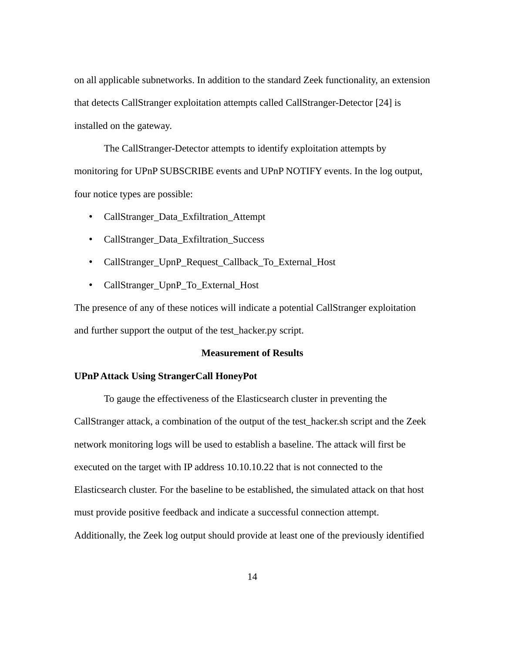on all applicable subnetworks. In addition to the standard Zeek functionality, an extension that detects CallStranger exploitation attempts called CallStranger-Detector [24] is installed on the gateway.

The CallStranger-Detector attempts to identify exploitation attempts by monitoring for UPnP SUBSCRIBE events and UPnP NOTIFY events. In the log output, four notice types are possible:

- CallStranger\_Data\_Exfiltration\_Attempt
- CallStranger\_Data\_Exfiltration\_Success
- CallStranger\_UpnP\_Request\_Callback\_To\_External\_Host
- CallStranger\_UpnP\_To\_External\_Host

The presence of any of these notices will indicate a potential CallStranger exploitation and further support the output of the test\_hacker.py script.

# <span id="page-22-1"></span>**Measurement of Results**

#### <span id="page-22-0"></span>**UPnP Attack Using StrangerCall HoneyPot**

To gauge the effectiveness of the Elasticsearch cluster in preventing the CallStranger attack, a combination of the output of the test\_hacker.sh script and the Zeek network monitoring logs will be used to establish a baseline. The attack will first be executed on the target with IP address 10.10.10.22 that is not connected to the Elasticsearch cluster. For the baseline to be established, the simulated attack on that host must provide positive feedback and indicate a successful connection attempt. Additionally, the Zeek log output should provide at least one of the previously identified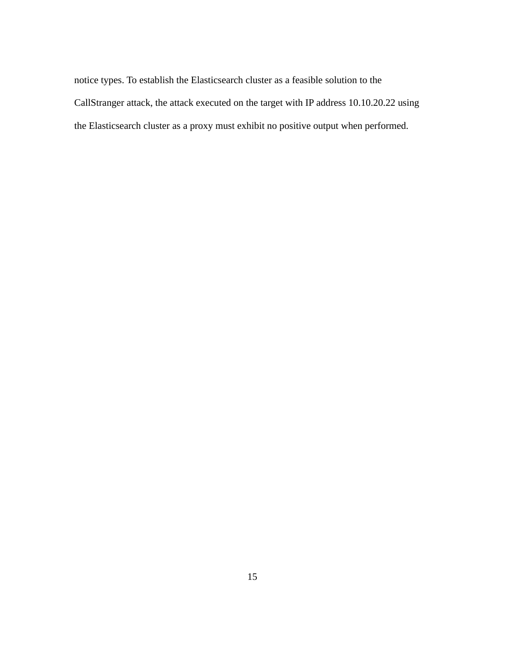notice types. To establish the Elasticsearch cluster as a feasible solution to the CallStranger attack, the attack executed on the target with IP address 10.10.20.22 using the Elasticsearch cluster as a proxy must exhibit no positive output when performed.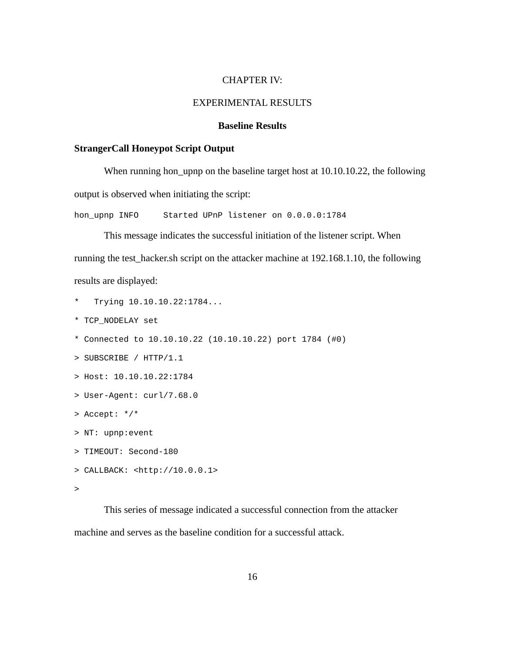#### <span id="page-24-2"></span>CHAPTER IV:

#### EXPERIMENTAL RESULTS

#### <span id="page-24-1"></span>**Baseline Results**

#### <span id="page-24-0"></span>**StrangerCall Honeypot Script Output**

When running hon\_upnp on the baseline target host at 10.10.10.22, the following output is observed when initiating the script:

hon\_upnp INFO Started UPnP listener on 0.0.0.0:1784

This message indicates the successful initiation of the listener script. When running the test\_hacker.sh script on the attacker machine at 192.168.1.10, the following results are displayed:

- Trying 10.10.10.22:1784...
- \* TCP\_NODELAY set
- \* Connected to 10.10.10.22 (10.10.10.22) port 1784 (#0)
- > SUBSCRIBE / HTTP/1.1
- > Host: 10.10.10.22:1784
- > User-Agent: curl/7.68.0
- > Accept: \*/\*
- > NT: upnp:event
- > TIMEOUT: Second-180
- > CALLBACK: <http://10.0.0.1>

```
>
```
This series of message indicated a successful connection from the attacker machine and serves as the baseline condition for a successful attack.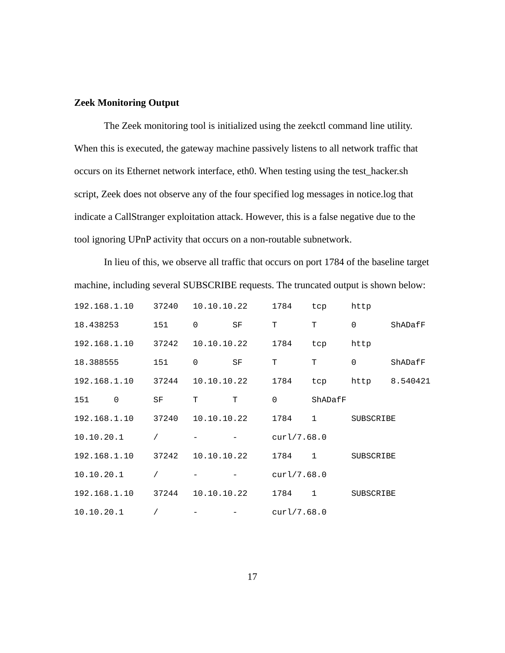#### <span id="page-25-0"></span>**Zeek Monitoring Output**

The Zeek monitoring tool is initialized using the zeekctl command line utility. When this is executed, the gateway machine passively listens to all network traffic that occurs on its Ethernet network interface, eth0. When testing using the test\_hacker.sh script, Zeek does not observe any of the four specified log messages in notice.log that indicate a CallStranger exploitation attack. However, this is a false negative due to the tool ignoring UPnP activity that occurs on a non-routable subnetwork.

In lieu of this, we observe all traffic that occurs on port 1784 of the baseline target machine, including several SUBSCRIBE requests. The truncated output is shown below:

| 192.168.1.10 | 37240     | 10.10.10.22 |           | 1784        | tcp          | http             |          |
|--------------|-----------|-------------|-----------|-------------|--------------|------------------|----------|
| 18,438253    | 151       | 0           | <b>SF</b> | т           | T            | 0                | ShADafF  |
| 192.168.1.10 | 37242     | 10.10.10.22 |           | 1784        | tcp          | http             |          |
| 18.388555    | 151       | 0           | <b>SF</b> | т           | т            | 0                | ShADafF  |
| 192.168.1.10 | 37244     | 10.10.10.22 |           | 1784        | tcp          | http             | 8.540421 |
| 151<br>0     | <b>SF</b> | Τ           | т         | 0           | ShADafF      |                  |          |
| 192.168.1.10 | 37240     | 10.10.10.22 |           | 1784        | $\mathbf{1}$ | <b>SUBSCRIBE</b> |          |
| 10.10.20.1   | $\prime$  |             |           | curl/7.68.0 |              |                  |          |
| 192.168.1.10 | 37242     | 10.10.10.22 |           | 1784        | $\mathbf{1}$ | <b>SUBSCRIBE</b> |          |
| 10.10.20.1   |           |             |           | curl/7.68.0 |              |                  |          |
| 192.168.1.10 | 37244     | 10.10.10.22 |           | 1784        | $\mathbf{1}$ | <b>SUBSCRIBE</b> |          |
| 10.10.20.1   |           |             |           | curl/7.68.0 |              |                  |          |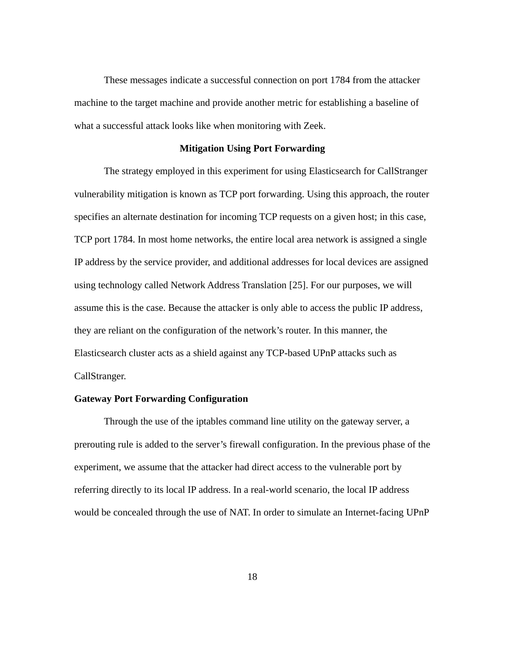These messages indicate a successful connection on port 1784 from the attacker machine to the target machine and provide another metric for establishing a baseline of what a successful attack looks like when monitoring with Zeek.

#### <span id="page-26-1"></span>**Mitigation Using Port Forwarding**

The strategy employed in this experiment for using Elasticsearch for CallStranger vulnerability mitigation is known as TCP port forwarding. Using this approach, the router specifies an alternate destination for incoming TCP requests on a given host; in this case, TCP port 1784. In most home networks, the entire local area network is assigned a single IP address by the service provider, and additional addresses for local devices are assigned using technology called Network Address Translation [25]. For our purposes, we will assume this is the case. Because the attacker is only able to access the public IP address, they are reliant on the configuration of the network's router. In this manner, the Elasticsearch cluster acts as a shield against any TCP-based UPnP attacks such as CallStranger.

# <span id="page-26-0"></span>**Gateway Port Forwarding Configuration**

Through the use of the iptables command line utility on the gateway server, a prerouting rule is added to the server's firewall configuration. In the previous phase of the experiment, we assume that the attacker had direct access to the vulnerable port by referring directly to its local IP address. In a real-world scenario, the local IP address would be concealed through the use of NAT. In order to simulate an Internet-facing UPnP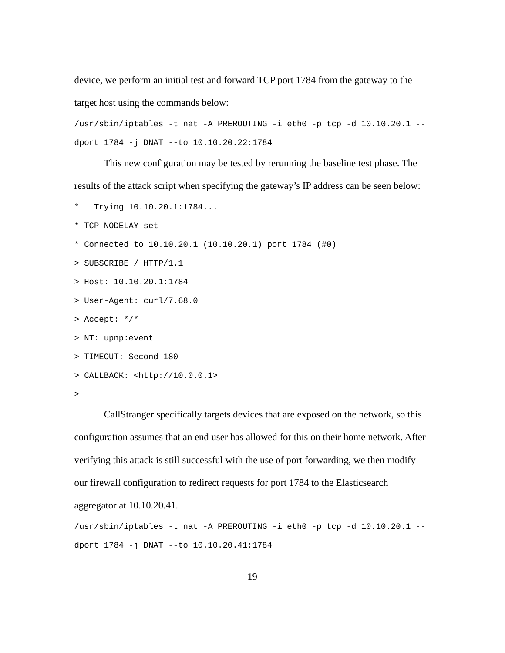device, we perform an initial test and forward TCP port 1784 from the gateway to the target host using the commands below:

/usr/sbin/iptables -t nat -A PREROUTING -i eth0 -p tcp -d 10.10.20.1 - dport 1784 -j DNAT --to 10.10.20.22:1784

This new configuration may be tested by rerunning the baseline test phase. The results of the attack script when specifying the gateway's IP address can be seen below:

- \* Trying 10.10.20.1:1784...
- \* TCP\_NODELAY set
- $*$  Connected to 10.10.20.1 (10.10.20.1) port 1784 (#0)
- > SUBSCRIBE / HTTP/1.1
- > Host: 10.10.20.1:1784
- > User-Agent: curl/7.68.0
- > Accept: \*/\*
- > NT: upnp:event
- > TIMEOUT: Second-180
- > CALLBACK: <http://10.0.0.1>

CallStranger specifically targets devices that are exposed on the network, so this configuration assumes that an end user has allowed for this on their home network. After verifying this attack is still successful with the use of port forwarding, we then modify our firewall configuration to redirect requests for port 1784 to the Elasticsearch

aggregator at 10.10.20.41.

/usr/sbin/iptables -t nat -A PREROUTING -i eth0 -p tcp -d 10.10.20.1 - dport 1784 -j DNAT --to 10.10.20.41:1784

<sup>&</sup>gt;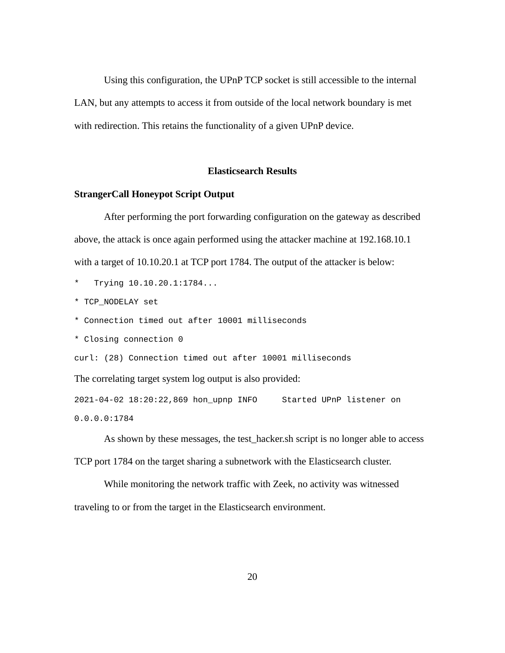Using this configuration, the UPnP TCP socket is still accessible to the internal LAN, but any attempts to access it from outside of the local network boundary is met with redirection. This retains the functionality of a given UPnP device.

#### <span id="page-28-1"></span>**Elasticsearch Results**

#### <span id="page-28-0"></span>**StrangerCall Honeypot Script Output**

After performing the port forwarding configuration on the gateway as described above, the attack is once again performed using the attacker machine at 192.168.10.1 with a target of 10.10.20.1 at TCP port 1784. The output of the attacker is below:

 $Trying 10.10.20.1:1784...$ 

\* TCP\_NODELAY set

- \* Connection timed out after 10001 milliseconds
- \* Closing connection 0

curl: (28) Connection timed out after 10001 milliseconds

The correlating target system log output is also provided:

2021-04-02 18:20:22,869 hon\_upnp INFO Started UPnP listener on

0.0.0.0:1784

As shown by these messages, the test\_hacker.sh script is no longer able to access TCP port 1784 on the target sharing a subnetwork with the Elasticsearch cluster.

While monitoring the network traffic with Zeek, no activity was witnessed traveling to or from the target in the Elasticsearch environment.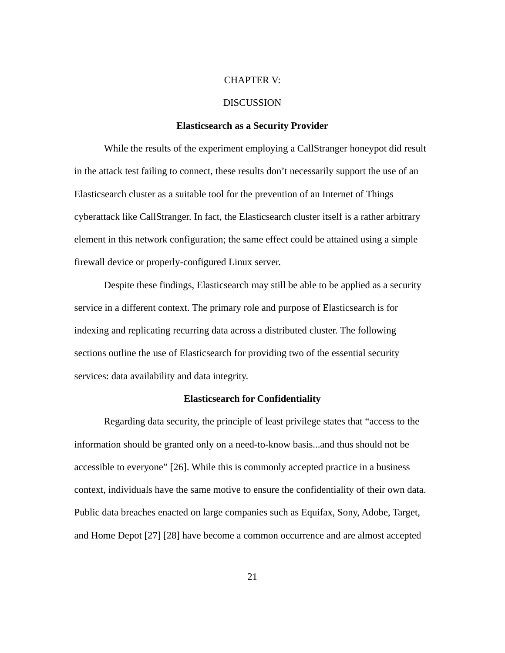#### <span id="page-29-1"></span>CHAPTER V:

#### DISCUSSION

#### <span id="page-29-0"></span>**Elasticsearch as a Security Provider**

While the results of the experiment employing a CallStranger honeypot did result in the attack test failing to connect, these results don't necessarily support the use of an Elasticsearch cluster as a suitable tool for the prevention of an Internet of Things cyberattack like CallStranger. In fact, the Elasticsearch cluster itself is a rather arbitrary element in this network configuration; the same effect could be attained using a simple firewall device or properly-configured Linux server.

Despite these findings, Elasticsearch may still be able to be applied as a security service in a different context. The primary role and purpose of Elasticsearch is for indexing and replicating recurring data across a distributed cluster. The following sections outline the use of Elasticsearch for providing two of the essential security services: data availability and data integrity.

# <span id="page-29-2"></span>**Elasticsearch for Confidentiality**

Regarding data security, the principle of least privilege states that "access to the information should be granted only on a need-to-know basis...and thus should not be accessible to everyone" [26]. While this is commonly accepted practice in a business context, individuals have the same motive to ensure the confidentiality of their own data. Public data breaches enacted on large companies such as Equifax, Sony, Adobe, Target, and Home Depot [27] [28] have become a common occurrence and are almost accepted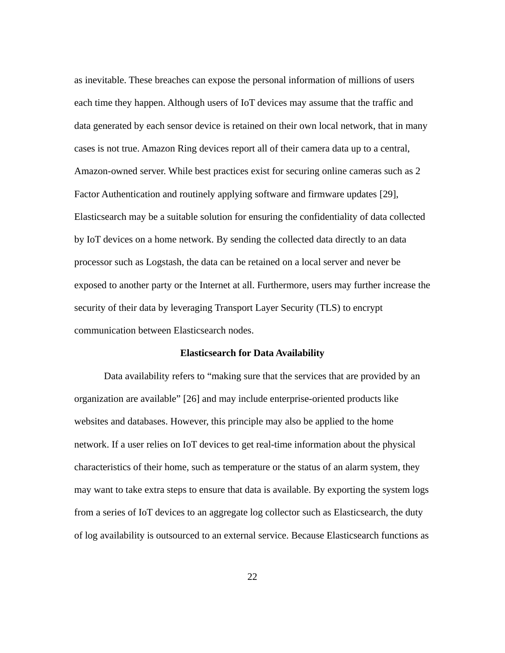as inevitable. These breaches can expose the personal information of millions of users each time they happen. Although users of IoT devices may assume that the traffic and data generated by each sensor device is retained on their own local network, that in many cases is not true. Amazon Ring devices report all of their camera data up to a central, Amazon-owned server. While best practices exist for securing online cameras such as 2 Factor Authentication and routinely applying software and firmware updates [29], Elasticsearch may be a suitable solution for ensuring the confidentiality of data collected by IoT devices on a home network. By sending the collected data directly to an data processor such as Logstash, the data can be retained on a local server and never be exposed to another party or the Internet at all. Furthermore, users may further increase the security of their data by leveraging Transport Layer Security (TLS) to encrypt communication between Elasticsearch nodes.

#### <span id="page-30-0"></span>**Elasticsearch for Data Availability**

Data availability refers to "making sure that the services that are provided by an organization are available" [26] and may include enterprise-oriented products like websites and databases. However, this principle may also be applied to the home network. If a user relies on IoT devices to get real-time information about the physical characteristics of their home, such as temperature or the status of an alarm system, they may want to take extra steps to ensure that data is available. By exporting the system logs from a series of IoT devices to an aggregate log collector such as Elasticsearch, the duty of log availability is outsourced to an external service. Because Elasticsearch functions as

22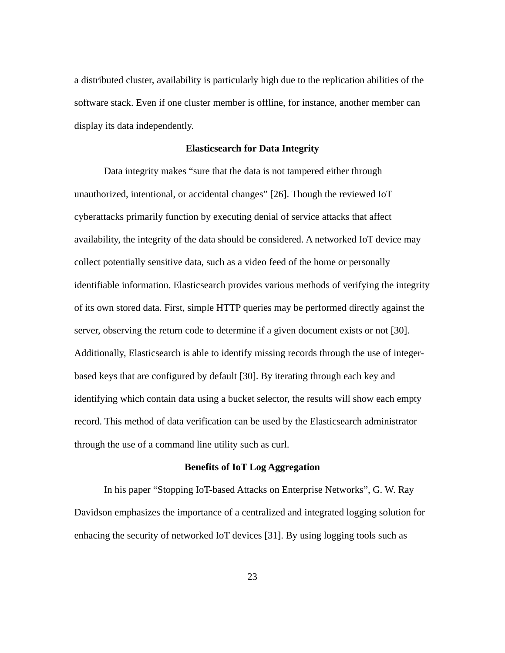a distributed cluster, availability is particularly high due to the replication abilities of the software stack. Even if one cluster member is offline, for instance, another member can display its data independently.

#### <span id="page-31-1"></span>**Elasticsearch for Data Integrity**

Data integrity makes "sure that the data is not tampered either through unauthorized, intentional, or accidental changes" [26]. Though the reviewed IoT cyberattacks primarily function by executing denial of service attacks that affect availability, the integrity of the data should be considered. A networked IoT device may collect potentially sensitive data, such as a video feed of the home or personally identifiable information. Elasticsearch provides various methods of verifying the integrity of its own stored data. First, simple HTTP queries may be performed directly against the server, observing the return code to determine if a given document exists or not [30]. Additionally, Elasticsearch is able to identify missing records through the use of integerbased keys that are configured by default [30]. By iterating through each key and identifying which contain data using a bucket selector, the results will show each empty record. This method of data verification can be used by the Elasticsearch administrator through the use of a command line utility such as curl.

# <span id="page-31-0"></span>**Benefits of IoT Log Aggregation**

In his paper "Stopping IoT-based Attacks on Enterprise Networks", G. W. Ray Davidson emphasizes the importance of a centralized and integrated logging solution for enhacing the security of networked IoT devices [31]. By using logging tools such as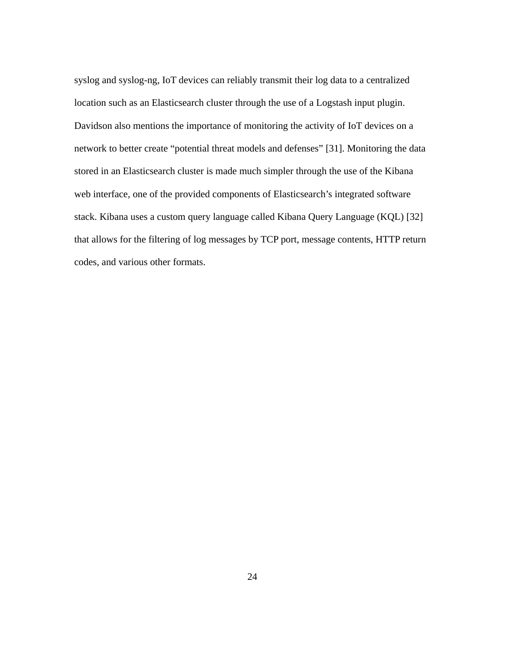syslog and syslog-ng, IoT devices can reliably transmit their log data to a centralized location such as an Elasticsearch cluster through the use of a Logstash input plugin. Davidson also mentions the importance of monitoring the activity of IoT devices on a network to better create "potential threat models and defenses" [31]. Monitoring the data stored in an Elasticsearch cluster is made much simpler through the use of the Kibana web interface, one of the provided components of Elasticsearch's integrated software stack. Kibana uses a custom query language called Kibana Query Language (KQL) [32] that allows for the filtering of log messages by TCP port, message contents, HTTP return codes, and various other formats.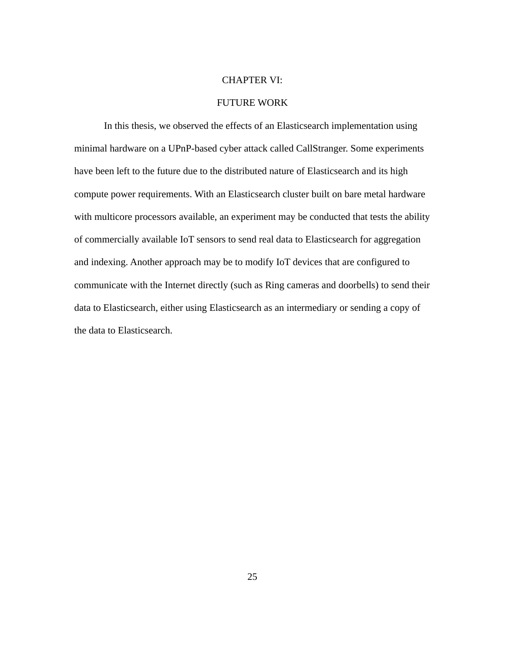#### <span id="page-33-0"></span>CHAPTER VI:

#### FUTURE WORK

In this thesis, we observed the effects of an Elasticsearch implementation using minimal hardware on a UPnP-based cyber attack called CallStranger. Some experiments have been left to the future due to the distributed nature of Elasticsearch and its high compute power requirements. With an Elasticsearch cluster built on bare metal hardware with multicore processors available, an experiment may be conducted that tests the ability of commercially available IoT sensors to send real data to Elasticsearch for aggregation and indexing. Another approach may be to modify IoT devices that are configured to communicate with the Internet directly (such as Ring cameras and doorbells) to send their data to Elasticsearch, either using Elasticsearch as an intermediary or sending a copy of the data to Elasticsearch.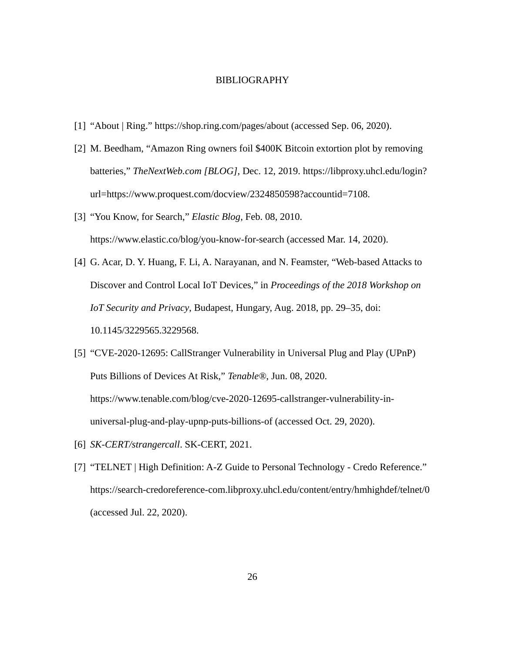#### <span id="page-34-0"></span>BIBLIOGRAPHY

- [1] "About | Ring." https://shop.ring.com/pages/about (accessed Sep. 06, 2020).
- [2] M. Beedham, "Amazon Ring owners foil \$400K Bitcoin extortion plot by removing batteries," *TheNextWeb.com [BLOG]*, Dec. 12, 2019. https://libproxy.uhcl.edu/login? url=https://www.proquest.com/docview/2324850598?accountid=7108.
- [3] "You Know, for Search," *Elastic Blog*, Feb. 08, 2010. https://www.elastic.co/blog/you-know-for-search (accessed Mar. 14, 2020).
- [4] G. Acar, D. Y. Huang, F. Li, A. Narayanan, and N. Feamster, "Web-based Attacks to Discover and Control Local IoT Devices," in *Proceedings of the 2018 Workshop on IoT Security and Privacy*, Budapest, Hungary, Aug. 2018, pp. 29–35, doi: 10.1145/3229565.3229568.
- [5] "CVE-2020-12695: CallStranger Vulnerability in Universal Plug and Play (UPnP) Puts Billions of Devices At Risk," *Tenable®*, Jun. 08, 2020. https://www.tenable.com/blog/cve-2020-12695-callstranger-vulnerability-inuniversal-plug-and-play-upnp-puts-billions-of (accessed Oct. 29, 2020).
- [6] *SK-CERT/strangercall*. SK-CERT, 2021.
- [7] "TELNET | High Definition: A-Z Guide to Personal Technology Credo Reference." https://search-credoreference-com.libproxy.uhcl.edu/content/entry/hmhighdef/telnet/0 (accessed Jul. 22, 2020).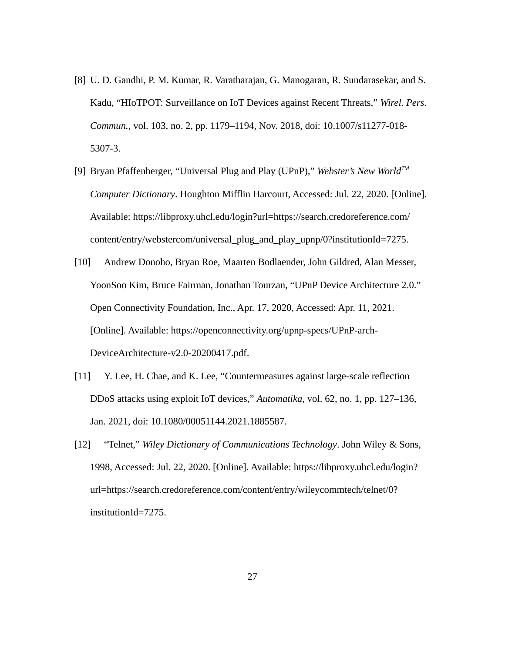- [8] U. D. Gandhi, P. M. Kumar, R. Varatharajan, G. Manogaran, R. Sundarasekar, and S. Kadu, "HIoTPOT: Surveillance on IoT Devices against Recent Threats," *Wirel. Pers. Commun.*, vol. 103, no. 2, pp. 1179–1194, Nov. 2018, doi: 10.1007/s11277-018- 5307-3.
- [9] Bryan Pfaffenberger, "Universal Plug and Play (UPnP)," *Webster's New WorldTM Computer Dictionary*. Houghton Mifflin Harcourt, Accessed: Jul. 22, 2020. [Online]. Available: https://libproxy.uhcl.edu/login?url=https://search.credoreference.com/ content/entry/webstercom/universal\_plug\_and\_play\_upnp/0?institutionId=7275.
- [10] Andrew Donoho, Bryan Roe, Maarten Bodlaender, John Gildred, Alan Messer, YoonSoo Kim, Bruce Fairman, Jonathan Tourzan, "UPnP Device Architecture 2.0." Open Connectivity Foundation, Inc., Apr. 17, 2020, Accessed: Apr. 11, 2021. [Online]. Available: https://openconnectivity.org/upnp-specs/UPnP-arch-DeviceArchitecture-v2.0-20200417.pdf.
- [11] Y. Lee, H. Chae, and K. Lee, "Countermeasures against large-scale reflection DDoS attacks using exploit IoT devices," *Automatika*, vol. 62, no. 1, pp. 127–136, Jan. 2021, doi: 10.1080/00051144.2021.1885587.
- [12] "Telnet," *Wiley Dictionary of Communications Technology*. John Wiley & Sons, 1998, Accessed: Jul. 22, 2020. [Online]. Available: https://libproxy.uhcl.edu/login? url=https://search.credoreference.com/content/entry/wileycommtech/telnet/0? institutionId=7275.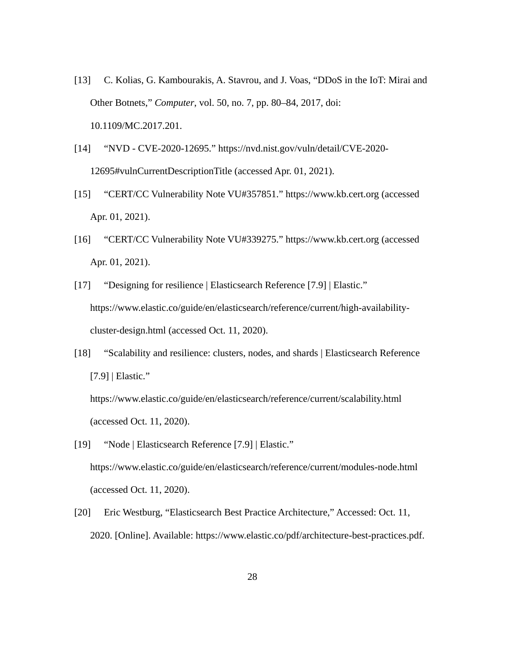- [13] C. Kolias, G. Kambourakis, A. Stavrou, and J. Voas, "DDoS in the IoT: Mirai and Other Botnets," *Computer*, vol. 50, no. 7, pp. 80–84, 2017, doi: 10.1109/MC.2017.201.
- [14] "NVD CVE-2020-12695." https://nvd.nist.gov/vuln/detail/CVE-2020- 12695#vulnCurrentDescriptionTitle (accessed Apr. 01, 2021).
- [15] "CERT/CC Vulnerability Note VU#357851." https://www.kb.cert.org (accessed Apr. 01, 2021).
- [16] "CERT/CC Vulnerability Note VU#339275." https://www.kb.cert.org (accessed Apr. 01, 2021).
- [17] "Designing for resilience | Elasticsearch Reference [7.9] | Elastic." https://www.elastic.co/guide/en/elasticsearch/reference/current/high-availabilitycluster-design.html (accessed Oct. 11, 2020).
- [18] "Scalability and resilience: clusters, nodes, and shards | Elasticsearch Reference [7.9] | Elastic."

https://www.elastic.co/guide/en/elasticsearch/reference/current/scalability.html (accessed Oct. 11, 2020).

- [19] "Node | Elasticsearch Reference [7.9] | Elastic." https://www.elastic.co/guide/en/elasticsearch/reference/current/modules-node.html (accessed Oct. 11, 2020).
- [20] Eric Westburg, "Elasticsearch Best Practice Architecture," Accessed: Oct. 11, 2020. [Online]. Available: https://www.elastic.co/pdf/architecture-best-practices.pdf.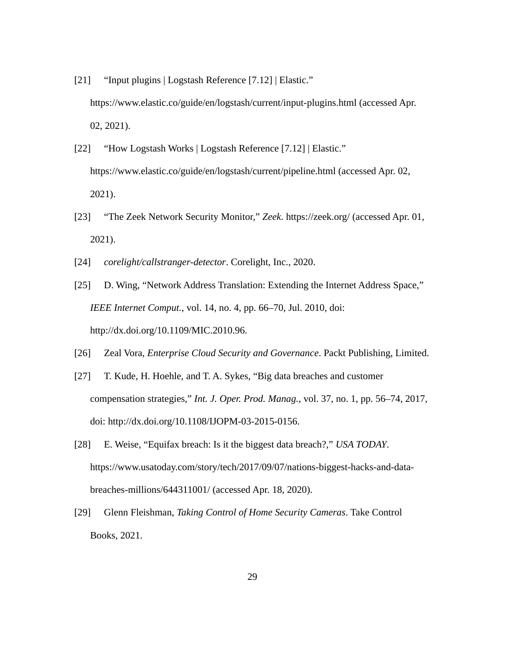- [21] "Input plugins | Logstash Reference [7.12] | Elastic." https://www.elastic.co/guide/en/logstash/current/input-plugins.html (accessed Apr. 02, 2021).
- [22] "How Logstash Works | Logstash Reference [7.12] | Elastic." https://www.elastic.co/guide/en/logstash/current/pipeline.html (accessed Apr. 02, 2021).
- [23] "The Zeek Network Security Monitor," *Zeek*. https://zeek.org/ (accessed Apr. 01, 2021).
- [24] *corelight/callstranger-detector*. Corelight, Inc., 2020.
- [25] D. Wing, "Network Address Translation: Extending the Internet Address Space," *IEEE Internet Comput.*, vol. 14, no. 4, pp. 66–70, Jul. 2010, doi: http://dx.doi.org/10.1109/MIC.2010.96.
- [26] Zeal Vora, *Enterprise Cloud Security and Governance*. Packt Publishing, Limited.
- [27] T. Kude, H. Hoehle, and T. A. Sykes, "Big data breaches and customer compensation strategies," *Int. J. Oper. Prod. Manag.*, vol. 37, no. 1, pp. 56–74, 2017, doi: http://dx.doi.org/10.1108/IJOPM-03-2015-0156.
- [28] E. Weise, "Equifax breach: Is it the biggest data breach?," *USA TODAY*. https://www.usatoday.com/story/tech/2017/09/07/nations-biggest-hacks-and-databreaches-millions/644311001/ (accessed Apr. 18, 2020).
- [29] Glenn Fleishman, *Taking Control of Home Security Cameras*. Take Control Books, 2021.